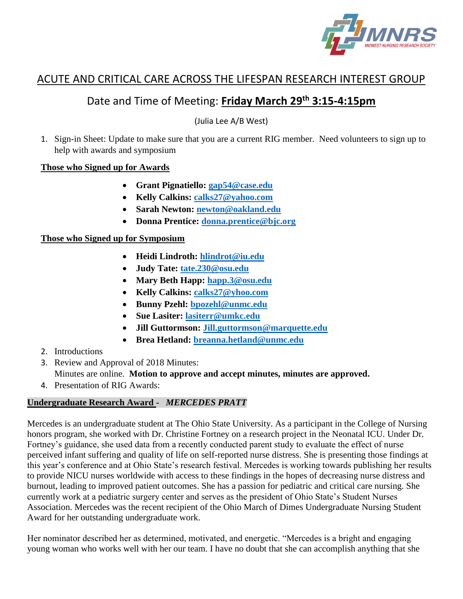

# ACUTE AND CRITICAL CARE ACROSS THE LIFESPAN RESEARCH INTEREST GROUP

# Date and Time of Meeting: **Friday March 29th 3:15-4:15pm**

(Julia Lee A/B West)

1. Sign-in Sheet: Update to make sure that you are a current RIG member. Need volunteers to sign up to help with awards and symposium

#### **Those who Signed up for Awards**

- **Grant Pignatiello: [gap54@case.edu](mailto:gap54@case.edu)**
- **Kelly Calkins: [calks27@yahoo.com](mailto:calks27@yahoo.com)**
- **Sarah Newton: [newton@oakland.edu](mailto:newton@oakland.edu)**
- **Donna Prentice: [donna.prentice@bjc.org](mailto:donna.prentice@bjc.org)**

#### **Those who Signed up for Symposium**

- **Heidi Lindroth: [hlindrot@iu.edu](mailto:hlindrot@iu.edu)**
- **Judy Tate: [tate.230@osu.edu](mailto:tate.230@osu.edu)**
- **Mary Beth Happ: [happ.3@osu.edu](mailto:happ.3@osu.edu)**
- **Kelly Calkins: [calks27@yhoo.com](mailto:calks27@yhoo.com)**
- **Bunny Pzehl: [bpozehl@unmc.edu](mailto:bpozehl@unmc.edu)**
- **Sue Lasiter: [lasiterr@umkc.edu](mailto:lasiterr@umkc.edu)**
- **Jill Guttormson: [Jill.guttormson@marquette.edu](mailto:Jill.guttormson@marquette.edu)**
- **Brea Hetland: [breanna.hetland@unmc.edu](mailto:breanna.hetland@unmc.edu)**
- 2. Introductions
- 3. Review and Approval of 2018 Minutes:
	- Minutes are online. **Motion to approve and accept minutes, minutes are approved.**
- 4. Presentation of RIG Awards:

# **Undergraduate Research Award -** *MERCEDES PRATT*

Mercedes is an undergraduate student at The Ohio State University. As a participant in the College of Nursing honors program, she worked with Dr. Christine Fortney on a research project in the Neonatal ICU. Under Dr. Fortney's guidance, she used data from a recently conducted parent study to evaluate the effect of nurse perceived infant suffering and quality of life on self-reported nurse distress. She is presenting those findings at this year's conference and at Ohio State's research festival. Mercedes is working towards publishing her results to provide NICU nurses worldwide with access to these findings in the hopes of decreasing nurse distress and burnout, leading to improved patient outcomes. She has a passion for pediatric and critical care nursing. She currently work at a pediatric surgery center and serves as the president of Ohio State's Student Nurses Association. Mercedes was the recent recipient of the Ohio March of Dimes Undergraduate Nursing Student Award for her outstanding undergraduate work.

Her nominator described her as determined, motivated, and energetic. "Mercedes is a bright and engaging young woman who works well with her our team. I have no doubt that she can accomplish anything that she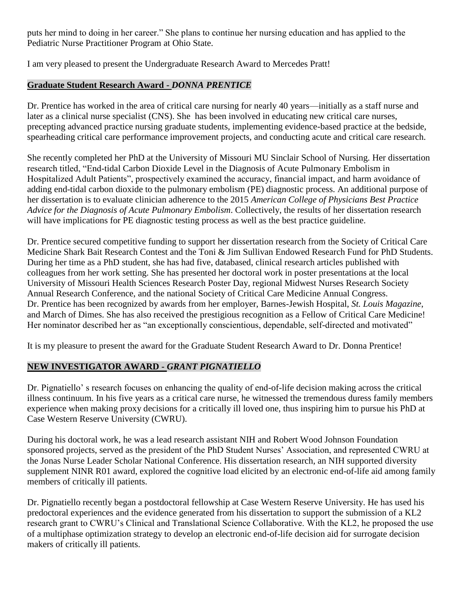puts her mind to doing in her career." She plans to continue her nursing education and has applied to the Pediatric Nurse Practitioner Program at Ohio State.

I am very pleased to present the Undergraduate Research Award to Mercedes Pratt!

### **Graduate Student Research Award -** *DONNA PRENTICE*

Dr. Prentice has worked in the area of critical care nursing for nearly 40 years—initially as a staff nurse and later as a clinical nurse specialist (CNS). She has been involved in educating new critical care nurses, precepting advanced practice nursing graduate students, implementing evidence-based practice at the bedside, spearheading critical care performance improvement projects, and conducting acute and critical care research.

She recently completed her PhD at the University of Missouri MU Sinclair School of Nursing. Her dissertation research titled, "End-tidal Carbon Dioxide Level in the Diagnosis of Acute Pulmonary Embolism in Hospitalized Adult Patients", prospectively examined the accuracy, financial impact, and harm avoidance of adding end-tidal carbon dioxide to the pulmonary embolism (PE) diagnostic process. An additional purpose of her dissertation is to evaluate clinician adherence to the 2015 *American College of Physicians Best Practice Advice for the Diagnosis of Acute Pulmonary Embolism*. Collectively, the results of her dissertation research will have implications for PE diagnostic testing process as well as the best practice guideline.

Dr. Prentice secured competitive funding to support her dissertation research from the Society of Critical Care Medicine Shark Bait Research Contest and the Toni & Jim Sullivan Endowed Research Fund for PhD Students. During her time as a PhD student, she has had five, databased, clinical research articles published with colleagues from her work setting. She has presented her doctoral work in poster presentations at the local University of Missouri Health Sciences Research Poster Day, regional Midwest Nurses Research Society Annual Research Conference, and the national Society of Critical Care Medicine Annual Congress. Dr. Prentice has been recognized by awards from her employer, Barnes-Jewish Hospital, *St. Louis Magazine*, and March of Dimes. She has also received the prestigious recognition as a Fellow of Critical Care Medicine! Her nominator described her as "an exceptionally conscientious, dependable, self-directed and motivated"

It is my pleasure to present the award for the Graduate Student Research Award to Dr. Donna Prentice!

# **NEW INVESTIGATOR AWARD -** *GRANT PIGNATIELLO*

Dr. Pignatiello' s research focuses on enhancing the quality of end-of-life decision making across the critical illness continuum. In his five years as a critical care nurse, he witnessed the tremendous duress family members experience when making proxy decisions for a critically ill loved one, thus inspiring him to pursue his PhD at Case Western Reserve University (CWRU).

During his doctoral work, he was a lead research assistant NIH and Robert Wood Johnson Foundation sponsored projects, served as the president of the PhD Student Nurses' Association, and represented CWRU at the Jonas Nurse Leader Scholar National Conference. His dissertation research, an NIH supported diversity supplement NINR R01 award, explored the cognitive load elicited by an electronic end-of-life aid among family members of critically ill patients.

Dr. Pignatiello recently began a postdoctoral fellowship at Case Western Reserve University. He has used his predoctoral experiences and the evidence generated from his dissertation to support the submission of a KL2 research grant to CWRU's Clinical and Translational Science Collaborative. With the KL2, he proposed the use of a multiphase optimization strategy to develop an electronic end-of-life decision aid for surrogate decision makers of critically ill patients.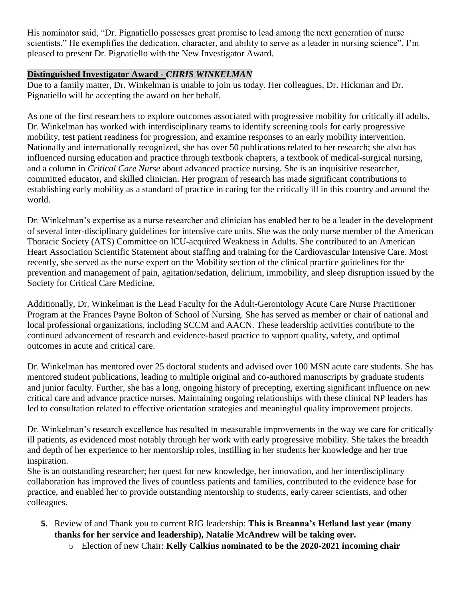His nominator said, "Dr. Pignatiello possesses great promise to lead among the next generation of nurse scientists." He exemplifies the dedication, character, and ability to serve as a leader in nursing science". I'm pleased to present Dr. Pignatiello with the New Investigator Award.

# **Distinguished Investigator Award -** *CHRIS WINKELMAN*

Due to a family matter, Dr. Winkelman is unable to join us today. Her colleagues, Dr. Hickman and Dr. Pignatiello will be accepting the award on her behalf.

As one of the first researchers to explore outcomes associated with progressive mobility for critically ill adults, Dr. Winkelman has worked with interdisciplinary teams to identify screening tools for early progressive mobility, test patient readiness for progression, and examine responses to an early mobility intervention. Nationally and internationally recognized, she has over 50 publications related to her research; she also has influenced nursing education and practice through textbook chapters, a textbook of medical-surgical nursing, and a column in *Critical Care Nurse* about advanced practice nursing. She is an inquisitive researcher, committed educator, and skilled clinician. Her program of research has made significant contributions to establishing early mobility as a standard of practice in caring for the critically ill in this country and around the world.

Dr. Winkelman's expertise as a nurse researcher and clinician has enabled her to be a leader in the development of several inter-disciplinary guidelines for intensive care units. She was the only nurse member of the American Thoracic Society (ATS) Committee on ICU-acquired Weakness in Adults. She contributed to an American Heart Association Scientific Statement about staffing and training for the Cardiovascular Intensive Care. Most recently, she served as the nurse expert on the Mobility section of the clinical practice guidelines for the prevention and management of pain, agitation/sedation, delirium, immobility, and sleep disruption issued by the Society for Critical Care Medicine.

Additionally, Dr. Winkelman is the Lead Faculty for the Adult-Gerontology Acute Care Nurse Practitioner Program at the Frances Payne Bolton of School of Nursing. She has served as member or chair of national and local professional organizations, including SCCM and AACN. These leadership activities contribute to the continued advancement of research and evidence-based practice to support quality, safety, and optimal outcomes in acute and critical care.

Dr. Winkelman has mentored over 25 doctoral students and advised over 100 MSN acute care students. She has mentored student publications, leading to multiple original and co-authored manuscripts by graduate students and junior faculty. Further, she has a long, ongoing history of precepting, exerting significant influence on new critical care and advance practice nurses. Maintaining ongoing relationships with these clinical NP leaders has led to consultation related to effective orientation strategies and meaningful quality improvement projects.

Dr. Winkelman's research excellence has resulted in measurable improvements in the way we care for critically ill patients, as evidenced most notably through her work with early progressive mobility. She takes the breadth and depth of her experience to her mentorship roles, instilling in her students her knowledge and her true inspiration.

She is an outstanding researcher; her quest for new knowledge, her innovation, and her interdisciplinary collaboration has improved the lives of countless patients and families, contributed to the evidence base for practice, and enabled her to provide outstanding mentorship to students, early career scientists, and other colleagues.

- **5.** Review of and Thank you to current RIG leadership: **This is Breanna's Hetland last year (many thanks for her service and leadership), Natalie McAndrew will be taking over.**
	- o Election of new Chair: **Kelly Calkins nominated to be the 2020-2021 incoming chair**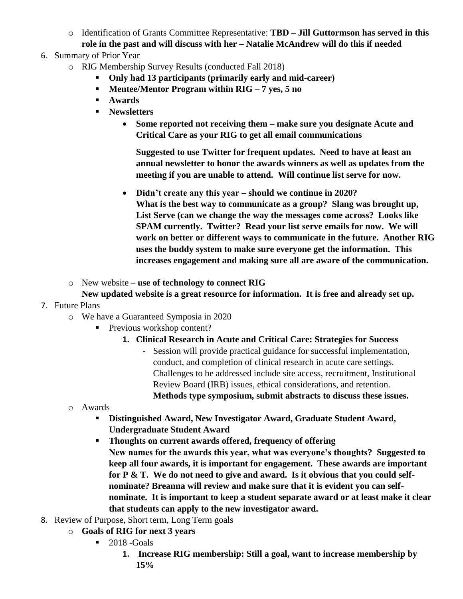o Identification of Grants Committee Representative: **TBD – Jill Guttormson has served in this role in the past and will discuss with her – Natalie McAndrew will do this if needed**

# 6. Summary of Prior Year

- o RIG Membership Survey Results (conducted Fall 2018)
	- **Only had 13 participants (primarily early and mid-career)**
	- **Mentee/Mentor Program within RIG** 7 yes, 5 no
	- **Awards**
	- **Newsletters**
		- **Some reported not receiving them – make sure you designate Acute and Critical Care as your RIG to get all email communications**

**Suggested to use Twitter for frequent updates. Need to have at least an annual newsletter to honor the awards winners as well as updates from the meeting if you are unable to attend. Will continue list serve for now.**

- **Didn't create any this year – should we continue in 2020? What is the best way to communicate as a group? Slang was brought up, List Serve (can we change the way the messages come across? Looks like SPAM currently. Twitter? Read your list serve emails for now. We will work on better or different ways to communicate in the future. Another RIG uses the buddy system to make sure everyone get the information. This increases engagement and making sure all are aware of the communication.**
- o New website **use of technology to connect RIG**

#### **New updated website is a great resource for information. It is free and already set up.**

- 7. Future Plans
	- o We have a Guaranteed Symposia in 2020
		- **•** Previous workshop content?
			- **1. Clinical Research in Acute and Critical Care: Strategies for Success**
				- Session will provide practical guidance for successful implementation, conduct, and completion of clinical research in acute care settings. Challenges to be addressed include site access, recruitment, Institutional Review Board (IRB) issues, ethical considerations, and retention. **Methods type symposium, submit abstracts to discuss these issues.**
	- o Awards
		- **Distinguished Award, New Investigator Award, Graduate Student Award, Undergraduate Student Award**
		- **Thoughts on current awards offered, frequency of offering New names for the awards this year, what was everyone's thoughts? Suggested to keep all four awards, it is important for engagement. These awards are important for P & T. We do not need to give and award. Is it obvious that you could selfnominate? Breanna will review and make sure that it is evident you can selfnominate. It is important to keep a student separate award or at least make it clear that students can apply to the new investigator award.**
- 8. Review of Purpose, Short term, Long Term goals
	- o **Goals of RIG for next 3 years**
		- **•** 2018 -Goals
			- **1. Increase RIG membership: Still a goal, want to increase membership by 15%**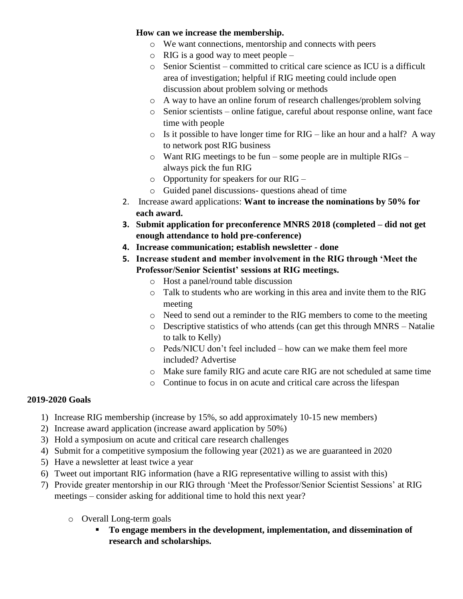#### **How can we increase the membership.**

- o We want connections, mentorship and connects with peers
- $\circ$  RIG is a good way to meet people –
- o Senior Scientist committed to critical care science as ICU is a difficult area of investigation; helpful if RIG meeting could include open discussion about problem solving or methods
- o A way to have an online forum of research challenges/problem solving
- o Senior scientists online fatigue, careful about response online, want face time with people
- $\circ$  Is it possible to have longer time for RIG like an hour and a half? A way to network post RIG business
- o Want RIG meetings to be fun some people are in multiple RIGs always pick the fun RIG
- o Opportunity for speakers for our RIG –
- o Guided panel discussions- questions ahead of time
- 2. Increase award applications: **Want to increase the nominations by 50% for each award.**
- **3. Submit application for preconference MNRS 2018 (completed – did not get enough attendance to hold pre-conference)**
- **4. Increase communication; establish newsletter - done**
- **5. Increase student and member involvement in the RIG through 'Meet the Professor/Senior Scientist' sessions at RIG meetings.**
	- o Host a panel/round table discussion
	- o Talk to students who are working in this area and invite them to the RIG meeting
	- o Need to send out a reminder to the RIG members to come to the meeting
	- o Descriptive statistics of who attends (can get this through MNRS Natalie to talk to Kelly)
	- o Peds/NICU don't feel included how can we make them feel more included? Advertise
	- o Make sure family RIG and acute care RIG are not scheduled at same time
	- o Continue to focus in on acute and critical care across the lifespan

#### **2019-2020 Goals**

- 1) Increase RIG membership (increase by 15%, so add approximately 10-15 new members)
- 2) Increase award application (increase award application by 50%)
- 3) Hold a symposium on acute and critical care research challenges
- 4) Submit for a competitive symposium the following year (2021) as we are guaranteed in 2020
- 5) Have a newsletter at least twice a year
- 6) Tweet out important RIG information (have a RIG representative willing to assist with this)
- 7) Provide greater mentorship in our RIG through 'Meet the Professor/Senior Scientist Sessions' at RIG meetings – consider asking for additional time to hold this next year?
	- o Overall Long-term goals
		- **To engage members in the development, implementation, and dissemination of research and scholarships.**